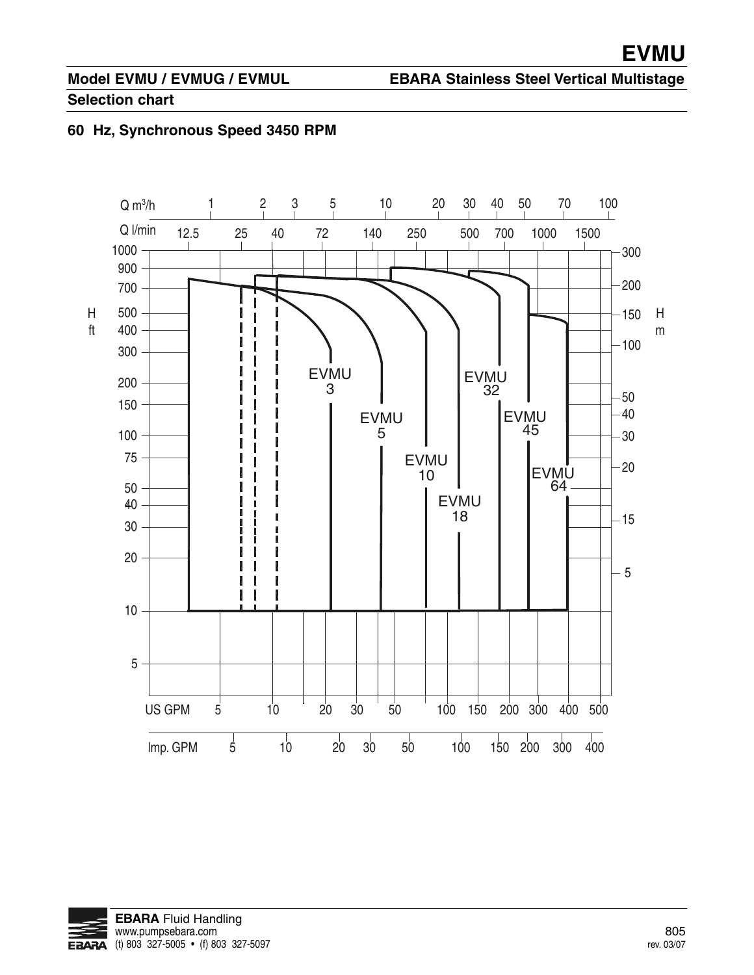# **Model EVMU / EVMUG / EVMUL**

#### **EBARA Stainless Steel Vertical Multistage**

#### **Selection chart**

#### **60 Hz, Synchronous Speed 3450 RPM**



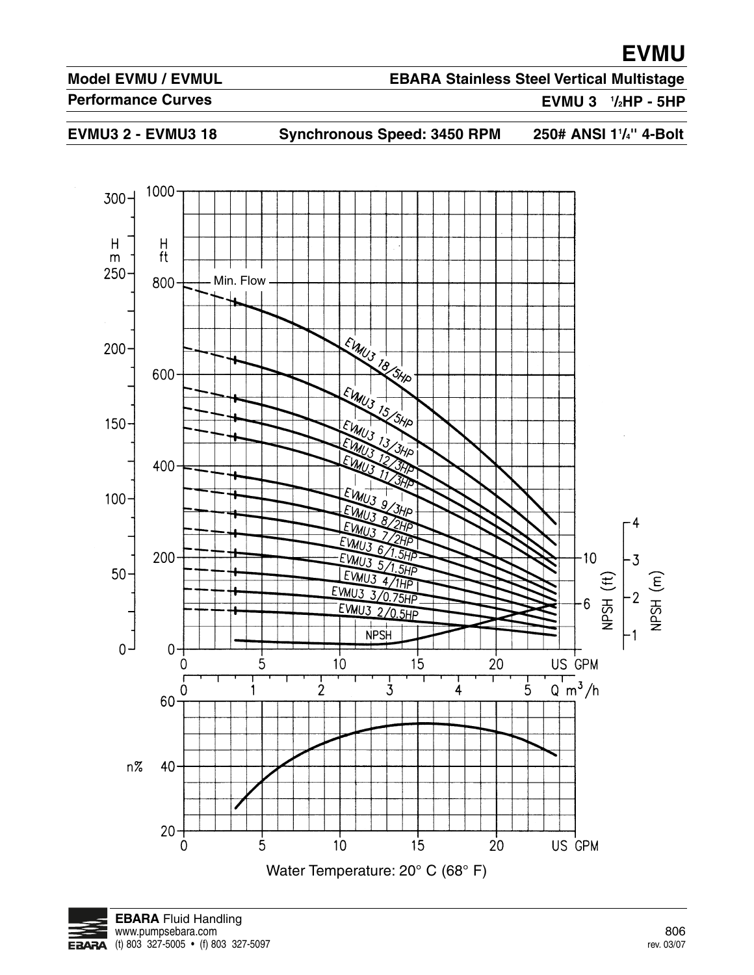#### **Model EVMU / EVMUL**

#### **EBARA Stainless Steel Vertical Multistage**

**Performance Curves**

**EVMU 3 1 /2HP - 5HP**

EVMU3 2 - EVMU3 18 Synchronous Speed: 3450 RPM

250# ANSI 1<sup>1</sup>/<sub>4</sub>" 4-Bolt



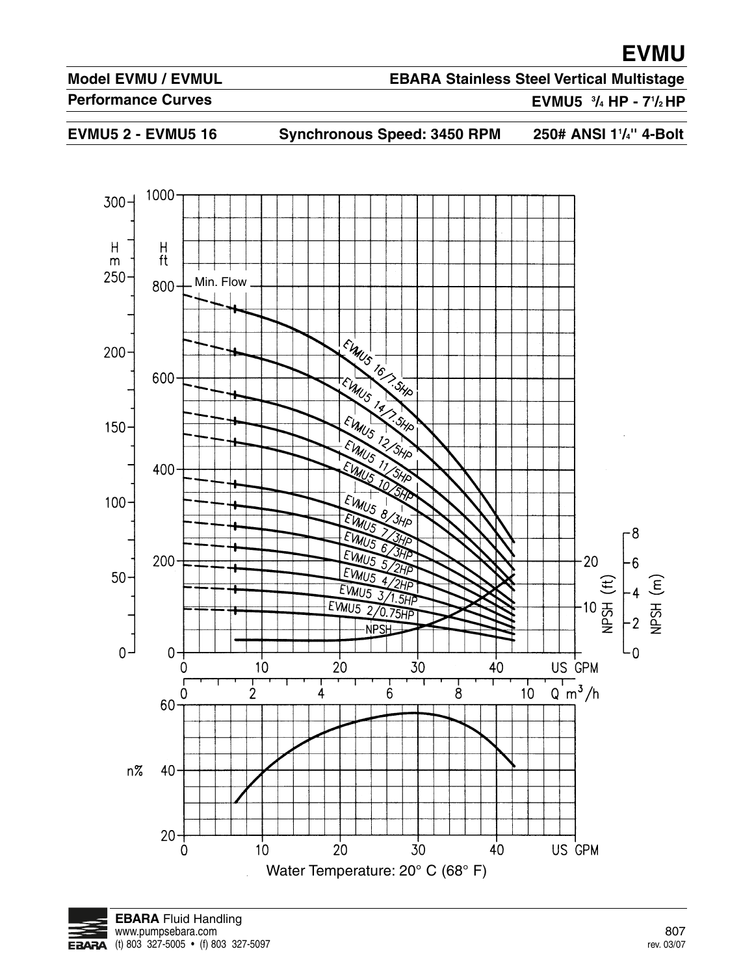#### **Model EVMU / EVMUL**

### **EBARA Stainless Steel Vertical Multistage**

**Performance Curves**

**EVMU5 3 /4 HP - 71 /2 HP**

EVMU5 2 - EVMU5 16 Synchronous Speed: 3450 RPM 250# ANSI 1<sup>1</sup>/<sub>4</sub>" 4-Bolt



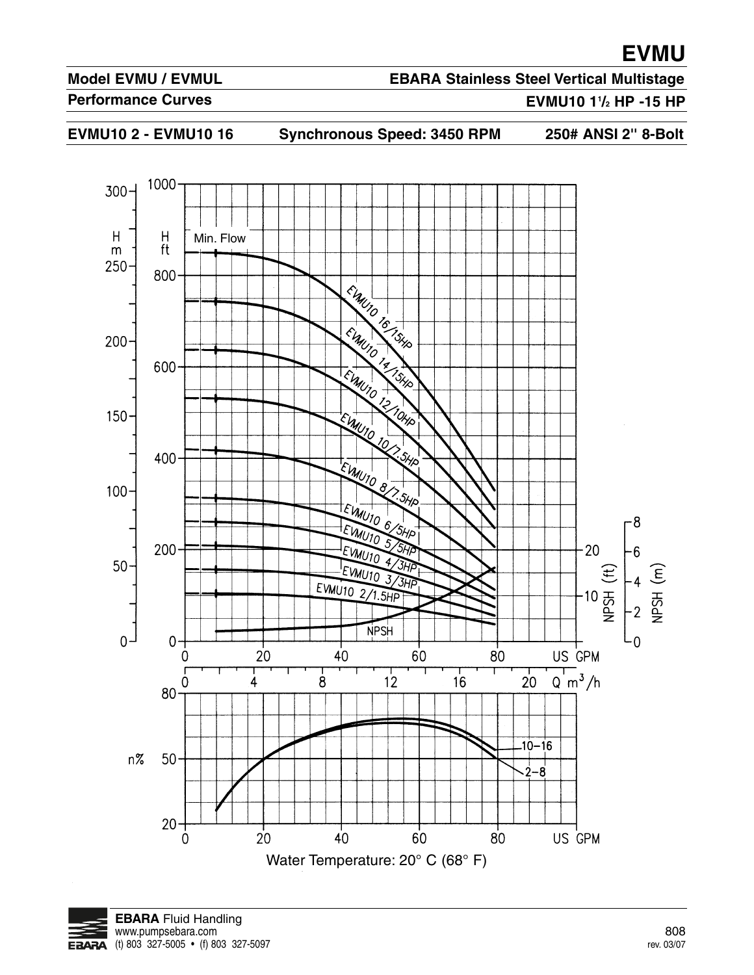#### **Model EVMU / EVMUL**

### **EBARA Stainless Steel Vertical Multistage**

#### **Performance Curves**

#### **EVMU10 11 /2 HP -15 HP**

**EVMU10 2 - EVMU10 16 Synchronous Speed: 3450 RPM 250# ANSI 2'' 8-Bolt**



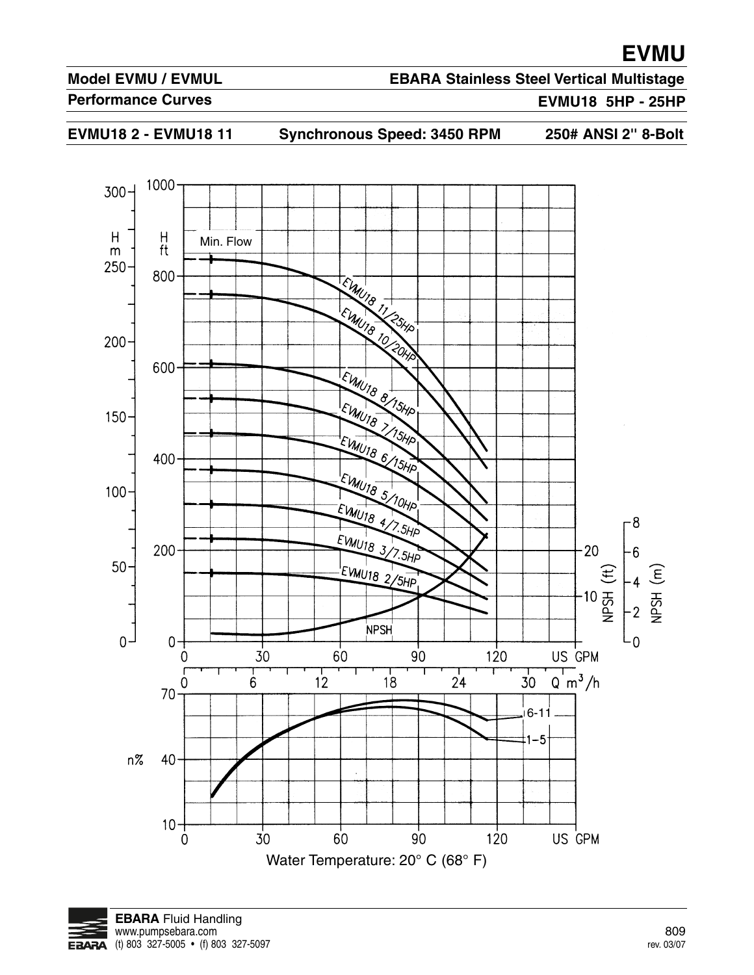#### **Model EVMU / EVMUL**

### **EBARA Stainless Steel Vertical Multistage**

**Performance Curves**

#### **EVMU18 5HP - 25HP**

**EVMU18 2 - EVMU18 11 Synchronous Speed: 3450 RPM 250# ANSI 2'' 8-Bolt**



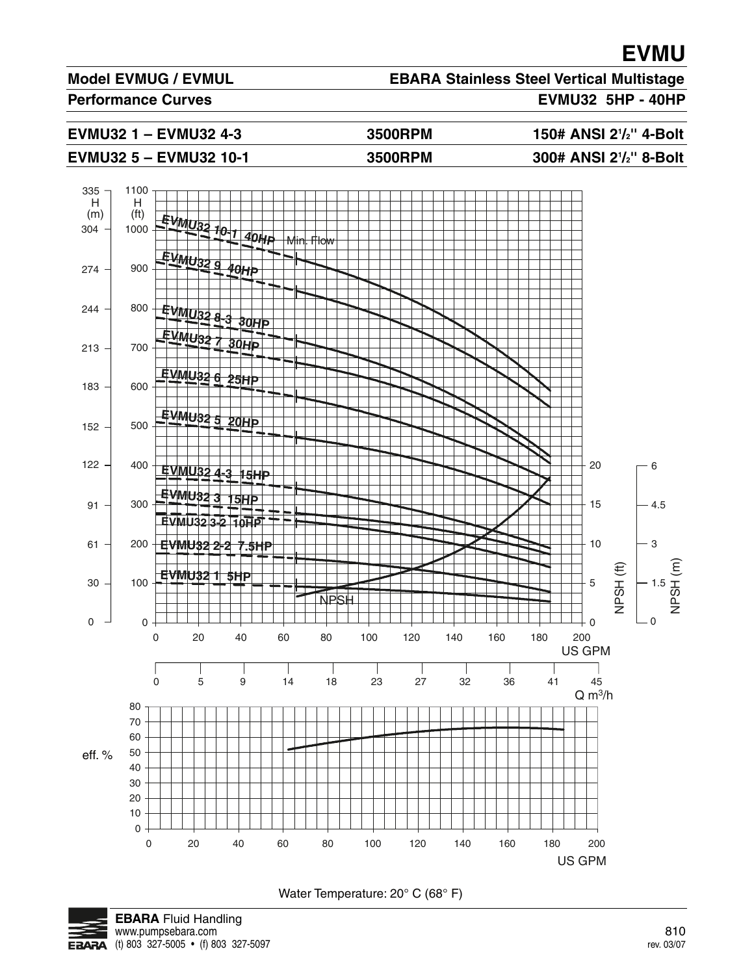#### **Model EVMUG / EVMUL**

## **EBARA Stainless Steel Vertical Multistage**

**Performance Curves EVMU32 5HP - 40HP**

**EVMU32 1 – EVMU32 4-3** 3500RPM

**/2'' 4-Bolt /2'' 8-Bolt**

#### **EVMU32 5 – EVMU32 10-1 3500RPM**



Water Temperature: 20° C (68° F)



**EBARA** Fluid Handling www.pumpsebara.com 810  $EBARA$  (t) 803 327-5005 • (f) 803 327-5097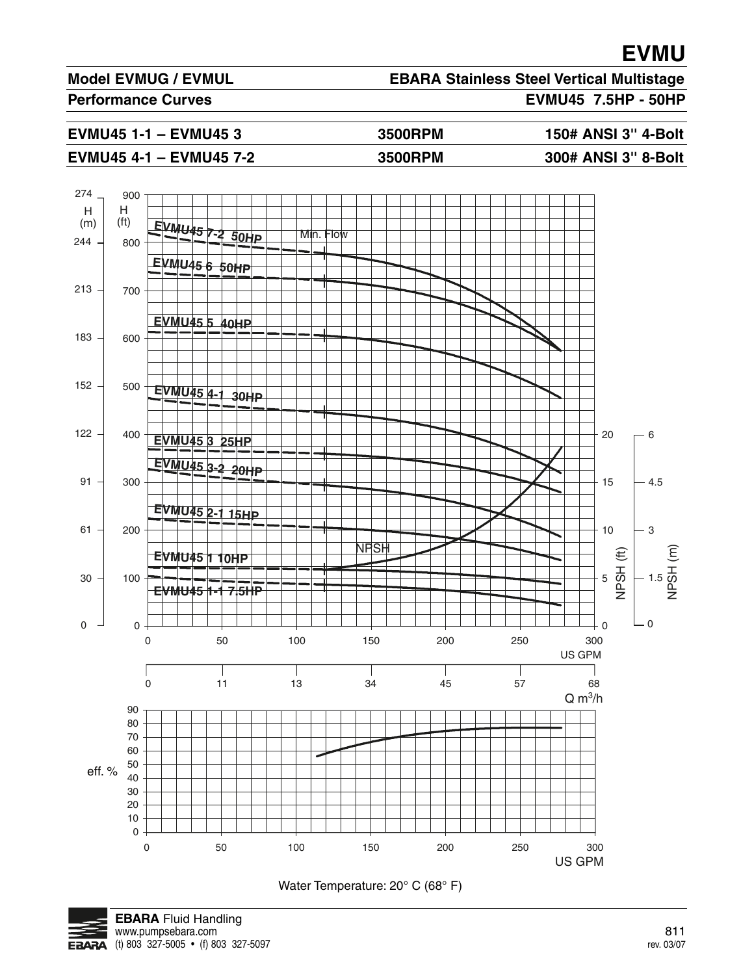#### **Model EVMUG / EVMUL**

**EBARA Stainless Steel Vertical Multistage**

Performance Curves **EVMU45** 7.5HP - 50HP

**EVMU45 1-1 – EVMU45 3 3500RPM 150# ANSI 3'' 4-Bolt**

#### **EVMU45 4-1 – EVMU45 7-2 3500RPM 300# ANSI 3'' 8-Bolt**